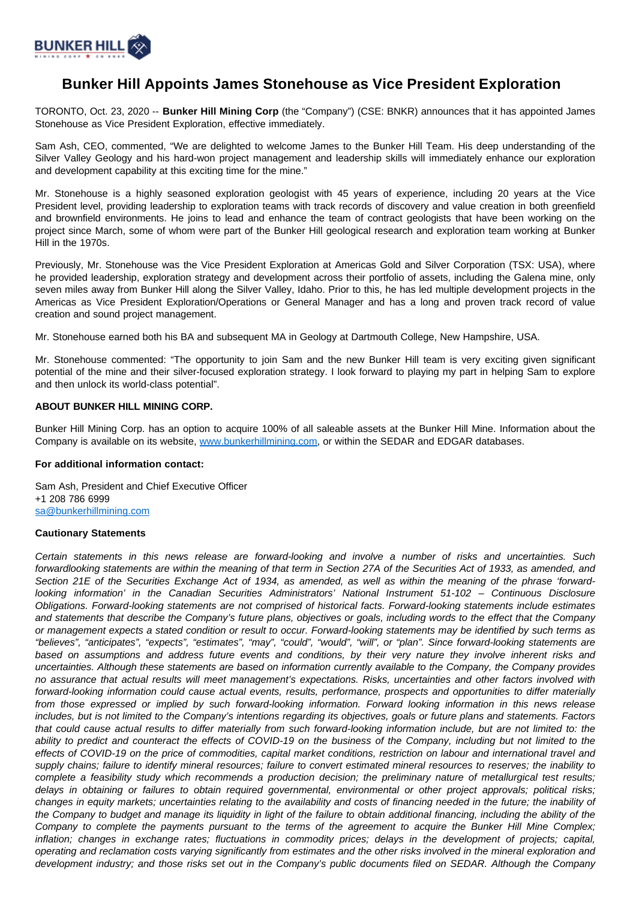

## **Bunker Hill Appoints James Stonehouse as Vice President Exploration**

TORONTO, Oct. 23, 2020 -- **Bunker Hill Mining Corp** (the "Company") (CSE: BNKR) announces that it has appointed James Stonehouse as Vice President Exploration, effective immediately.

Sam Ash, CEO, commented, "We are delighted to welcome James to the Bunker Hill Team. His deep understanding of the Silver Valley Geology and his hard-won project management and leadership skills will immediately enhance our exploration and development capability at this exciting time for the mine."

Mr. Stonehouse is a highly seasoned exploration geologist with 45 years of experience, including 20 years at the Vice President level, providing leadership to exploration teams with track records of discovery and value creation in both greenfield and brownfield environments. He joins to lead and enhance the team of contract geologists that have been working on the project since March, some of whom were part of the Bunker Hill geological research and exploration team working at Bunker Hill in the 1970s.

Previously, Mr. Stonehouse was the Vice President Exploration at Americas Gold and Silver Corporation (TSX: USA), where he provided leadership, exploration strategy and development across their portfolio of assets, including the Galena mine, only seven miles away from Bunker Hill along the Silver Valley, Idaho. Prior to this, he has led multiple development projects in the Americas as Vice President Exploration/Operations or General Manager and has a long and proven track record of value creation and sound project management.

Mr. Stonehouse earned both his BA and subsequent MA in Geology at Dartmouth College, New Hampshire, USA.

Mr. Stonehouse commented: "The opportunity to join Sam and the new Bunker Hill team is very exciting given significant potential of the mine and their silver-focused exploration strategy. I look forward to playing my part in helping Sam to explore and then unlock its world-class potential".

## **ABOUT BUNKER HILL MINING CORP.**

Bunker Hill Mining Corp. has an option to acquire 100% of all saleable assets at the Bunker Hill Mine. Information about the Company is available on its website, [www.bunkerhillmining.com,](http://www.bunkerhillmining.com/) or within the SEDAR and EDGAR databases.

## **For additional information contact:**

Sam Ash, President and Chief Executive Officer +1 208 786 6999 [sa@bunkerhillmining.com](mailto:sa@bunkerhillmining.com)

## **Cautionary Statements**

Certain statements in this news release are forward-looking and involve a number of risks and uncertainties. Such forwardlooking statements are within the meaning of that term in Section 27A of the Securities Act of 1933, as amended, and Section 21E of the Securities Exchange Act of 1934, as amended, as well as within the meaning of the phrase 'forwardlooking information' in the Canadian Securities Administrators' National Instrument 51-102 – Continuous Disclosure Obligations. Forward-looking statements are not comprised of historical facts. Forward-looking statements include estimates and statements that describe the Company's future plans, objectives or goals, including words to the effect that the Company or management expects a stated condition or result to occur. Forward-looking statements may be identified by such terms as "believes", "anticipates", "expects", "estimates", "may", "could", "would", "will", or "plan". Since forward-looking statements are based on assumptions and address future events and conditions, by their very nature they involve inherent risks and uncertainties. Although these statements are based on information currently available to the Company, the Company provides no assurance that actual results will meet management's expectations. Risks, uncertainties and other factors involved with forward-looking information could cause actual events, results, performance, prospects and opportunities to differ materially from those expressed or implied by such forward-looking information. Forward looking information in this news release includes, but is not limited to the Company's intentions regarding its objectives, goals or future plans and statements. Factors that could cause actual results to differ materially from such forward-looking information include, but are not limited to: the ability to predict and counteract the effects of COVID-19 on the business of the Company, including but not limited to the effects of COVID-19 on the price of commodities, capital market conditions, restriction on labour and international travel and supply chains; failure to identify mineral resources; failure to convert estimated mineral resources to reserves; the inability to complete a feasibility study which recommends a production decision; the preliminary nature of metallurgical test results; delays in obtaining or failures to obtain required governmental, environmental or other project approvals; political risks; changes in equity markets; uncertainties relating to the availability and costs of financing needed in the future; the inability of the Company to budget and manage its liquidity in light of the failure to obtain additional financing, including the ability of the Company to complete the payments pursuant to the terms of the agreement to acquire the Bunker Hill Mine Complex; inflation; changes in exchange rates; fluctuations in commodity prices; delays in the development of projects; capital, operating and reclamation costs varying significantly from estimates and the other risks involved in the mineral exploration and development industry; and those risks set out in the Company's public documents filed on SEDAR. Although the Company